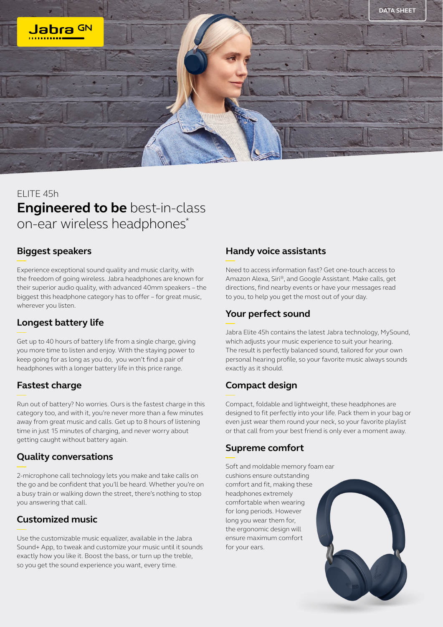

# ELITE 45h **Engineered to be** best-in-class on-ear wireless headphones\*

#### **Biggest speakers**

Experience exceptional sound quality and music clarity, with the freedom of going wireless. Jabra headphones are known for their superior audio quality, with advanced 40mm speakers – the biggest this headphone category has to offer – for great music, wherever you listen.

### **Longest battery life**

Get up to 40 hours of battery life from a single charge, giving you more time to listen and enjoy. With the staying power to keep going for as long as you do, you won't find a pair of headphones with a longer battery life in this price range.

### **Fastest charge**

Run out of battery? No worries. Ours is the fastest charge in this category too, and with it, you're never more than a few minutes away from great music and calls. Get up to 8 hours of listening time in just 15 minutes of charging, and never worry about getting caught without battery again.

### **Quality conversations**

2-microphone call technology lets you make and take calls on the go and be confident that you'll be heard. Whether you're on a busy train or walking down the street, there's nothing to stop you answering that call.

### **Customized music**

Use the customizable music equalizer, available in the Jabra Sound+ App, to tweak and customize your music until it sounds exactly how you like it. Boost the bass, or turn up the treble, so you get the sound experience you want, every time.

#### **Handy voice assistants**

Need to access information fast? Get one-touch access to Amazon Alexa, Siri®, and Google Assistant. Make calls, get directions, find nearby events or have your messages read to you, to help you get the most out of your day.

## **Your perfect sound**

Jabra Elite 45h contains the latest Jabra technology, MySound, which adjusts your music experience to suit your hearing. The result is perfectly balanced sound, tailored for your own personal hearing profile, so your favorite music always sounds exactly as it should.

### **Compact design**

Compact, foldable and lightweight, these headphones are designed to fit perfectly into your life. Pack them in your bag or even just wear them round your neck, so your favorite playlist or that call from your best friend is only ever a moment away.

### **Supreme comfort**

Soft and moldable memory foam ear cushions ensure outstanding comfort and fit, making these headphones extremely comfortable when wearing for long periods. However long you wear them for, the ergonomic design will ensure maximum comfort for your ears.